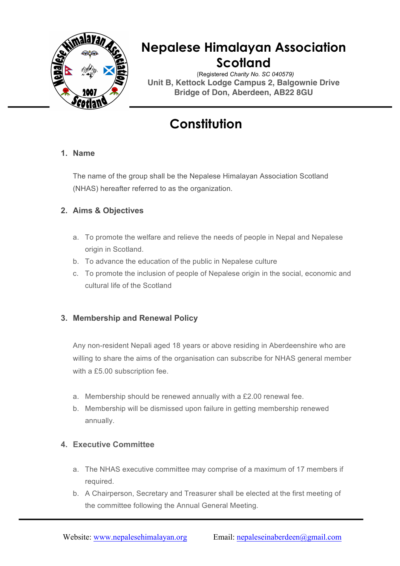

# **Nepalese Himalayan Association Scotland**

(Registered *Charity No. SC 040579)* **Unit B, Kettock Lodge Campus 2, Balgownie Drive Bridge of Don, Aberdeen, AB22 8GU**

# **Constitution**

### **1. Name**

The name of the group shall be the Nepalese Himalayan Association Scotland (NHAS) hereafter referred to as the organization.

### **2. Aims & Objectives**

- a. To promote the welfare and relieve the needs of people in Nepal and Nepalese origin in Scotland.
- b. To advance the education of the public in Nepalese culture
- c. To promote the inclusion of people of Nepalese origin in the social, economic and cultural life of the Scotland

### **3. Membership and Renewal Policy**

Any non-resident Nepali aged 18 years or above residing in Aberdeenshire who are willing to share the aims of the organisation can subscribe for NHAS general member with a £5.00 subscription fee.

- a. Membership should be renewed annually with a £2.00 renewal fee.
- b. Membership will be dismissed upon failure in getting membership renewed annually.

### **4. Executive Committee**

- a. The NHAS executive committee may comprise of a maximum of 17 members if required.
- b. A Chairperson, Secretary and Treasurer shall be elected at the first meeting of the committee following the Annual General Meeting.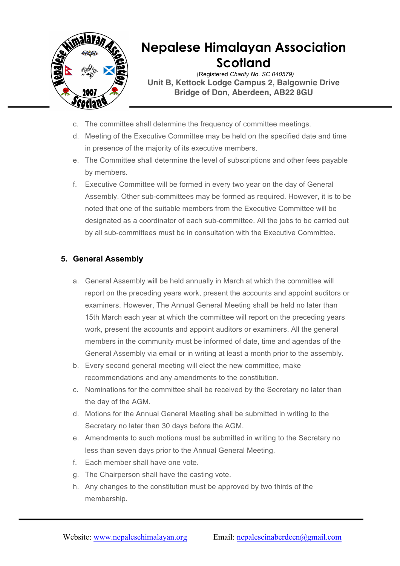

## **Nepalese Himalayan Association Scotland**

(Registered *Charity No. SC 040579)* **Unit B, Kettock Lodge Campus 2, Balgownie Drive Bridge of Don, Aberdeen, AB22 8GU**

- c. The committee shall determine the frequency of committee meetings.
- d. Meeting of the Executive Committee may be held on the specified date and time in presence of the majority of its executive members.
- e. The Committee shall determine the level of subscriptions and other fees payable by members.
- f. Executive Committee will be formed in every two year on the day of General Assembly. Other sub-committees may be formed as required. However, it is to be noted that one of the suitable members from the Executive Committee will be designated as a coordinator of each sub-committee. All the jobs to be carried out by all sub-committees must be in consultation with the Executive Committee.

### **5. General Assembly**

- a. General Assembly will be held annually in March at which the committee will report on the preceding years work, present the accounts and appoint auditors or examiners. However, The Annual General Meeting shall be held no later than 15th March each year at which the committee will report on the preceding years work, present the accounts and appoint auditors or examiners. All the general members in the community must be informed of date, time and agendas of the General Assembly via email or in writing at least a month prior to the assembly.
- b. Every second general meeting will elect the new committee, make recommendations and any amendments to the constitution.
- c. Nominations for the committee shall be received by the Secretary no later than the day of the AGM.
- d. Motions for the Annual General Meeting shall be submitted in writing to the Secretary no later than 30 days before the AGM.
- e. Amendments to such motions must be submitted in writing to the Secretary no less than seven days prior to the Annual General Meeting.
- f. Each member shall have one vote.
- g. The Chairperson shall have the casting vote.
- h. Any changes to the constitution must be approved by two thirds of the membership.